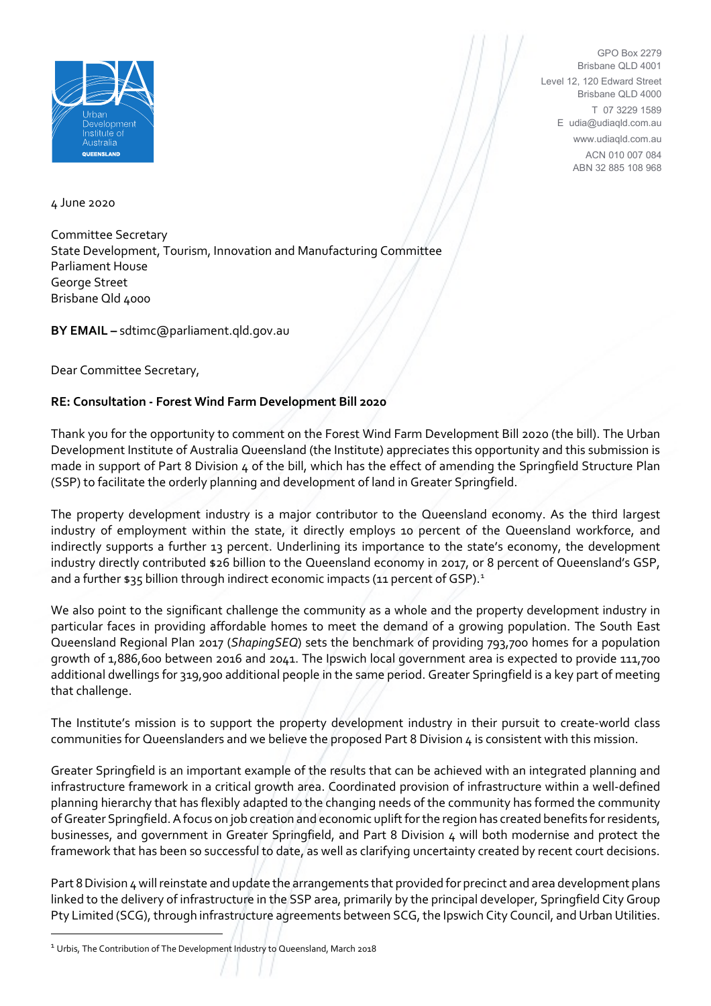

GPO Box 2279 Brisbane QLD 4001 Level 12, 120 Edward Street Brisbane QLD 4000 T 07 3229 1589 E udia@udiaqld.com.au www.udiaqld.com.au ACN 010 007 084 ABN 32 885 108 968

4 June 2020

Committee Secretary State Development, Tourism, Innovation and Manufacturing Committee Parliament House George Street Brisbane Qld 4000

**BY EMAIL –** sdtimc@parliament.qld.gov.au

Dear Committee Secretary,

## **RE: Consultation - Forest Wind Farm Development Bill 2020**

Thank you for the opportunity to comment on the Forest Wind Farm Development Bill 2020 (the bill). The Urban Development Institute of Australia Queensland (the Institute) appreciates this opportunity and this submission is made in support of Part 8 Division 4 of the bill, which has the effect of amending the Springfield Structure Plan (SSP) to facilitate the orderly planning and development of land in Greater Springfield.

The property development industry is a major contributor to the Queensland economy. As the third largest industry of employment within the state, it directly employs 10 percent of the Queensland workforce, and indirectly supports a further 13 percent. Underlining its importance to the state's economy, the development industry directly contributed \$26 billion to the Queensland economy in 2017, or 8 percent of Queensland's GSP, and a further \$35 billion through indirect economic impacts ([1](#page-0-0)1 percent of GSP).<sup>1</sup>

We also point to the significant challenge the community as a whole and the property development industry in particular faces in providing affordable homes to meet the demand of a growing population. The South East Queensland Regional Plan 2017 (*ShapingSEQ*) sets the benchmark of providing 793,700 homes for a population growth of 1,886,600 between 2016 and 2041. The Ipswich local government area is expected to provide 111,700 additional dwellings for 319,900 additional people in the same period. Greater Springfield is a key part of meeting that challenge.

The Institute's mission is to support the property development industry in their pursuit to create-world class communities for Queenslanders and we believe the proposed Part 8 Division 4 is consistent with this mission.

Greater Springfield is an important example of the results that can be achieved with an integrated planning and infrastructure framework in a critical growth area. Coordinated provision of infrastructure within a well-defined planning hierarchy that has flexibly adapted to the changing needs of the community has formed the community of Greater Springfield.A focus on job creation and economic uplift for the region has created benefits for residents, businesses, and government in Greater Springfield, and Part 8 Division 4 will both modernise and protect the framework that has been so successful to date, as well as clarifying uncertainty created by recent court decisions.

Part 8 Division 4 will reinstate and update the arrangements that provided for precinct and area development plans linked to the delivery of infrastructure in the SSP area, primarily by the principal developer, Springfield City Group Pty Limited (SCG), through infrastructure agreements between SCG, the Ipswich City Council, and Urban Utilities.

<span id="page-0-0"></span><sup>&</sup>lt;sup>1</sup> Urbis, The Contribution of The Development Industry to Queensland, March 2018